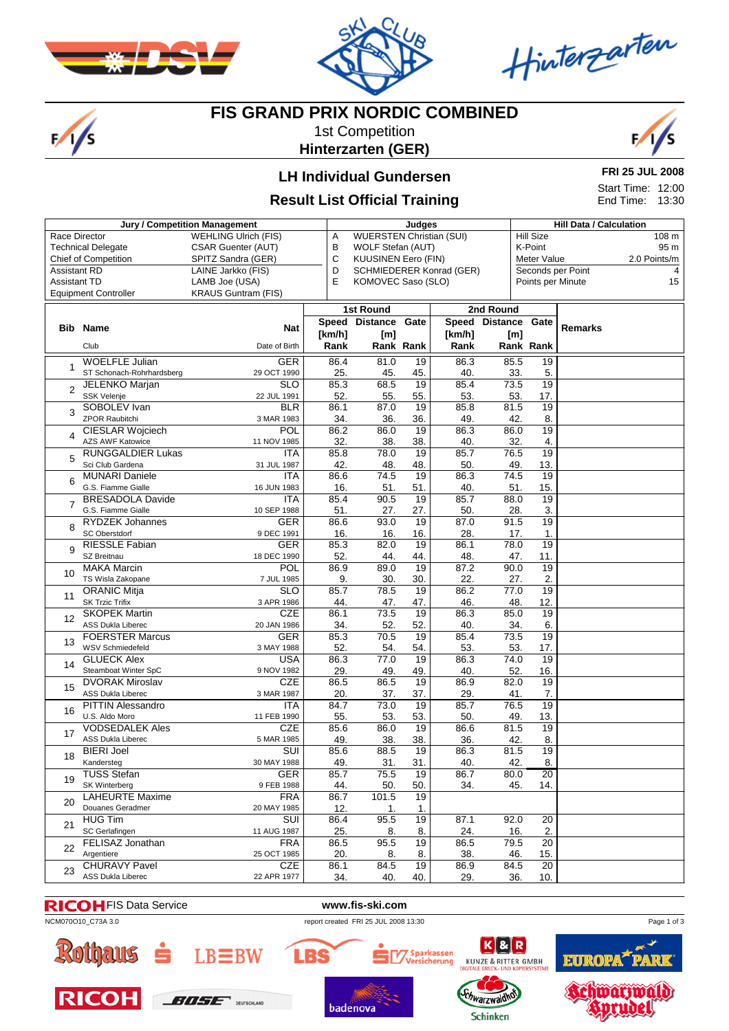

 $\frac{1}{s}$ 



Hinterzarten

# **FIS GRAND PRIX NORDIC COMBINED**

1st Competition **Hinterzarten (GER)**



#### **LH Individual Gundersen**

#### **Result List Official Training**

**FRI 25 JUL 2008** Start Time: 12:00

End Time: 13:30

|                                           | Jury / Competition Management                 |                             | Judges      |                                                           |                 |                |      |                                      | <b>Hill Data / Calculation</b> |                   |              |  |
|-------------------------------------------|-----------------------------------------------|-----------------------------|-------------|-----------------------------------------------------------|-----------------|----------------|------|--------------------------------------|--------------------------------|-------------------|--------------|--|
| Race Director                             |                                               | <b>WEHLING Ulrich (FIS)</b> | Α           | <b>WUERSTEN Christian (SUI)</b>                           |                 |                |      | <b>Hill Size</b><br>108 <sub>m</sub> |                                |                   |              |  |
|                                           | <b>Technical Delegate</b>                     | <b>CSAR Guenter (AUT)</b>   | В           | 95 m<br>K-Point<br>WOLF Stefan (AUT)                      |                 |                |      |                                      |                                |                   |              |  |
|                                           | <b>Chief of Competition</b>                   | SPITZ Sandra (GER)          | С           | <b>KUUSINEN Eero (FIN)</b><br>Meter Value                 |                 |                |      |                                      |                                |                   | 2.0 Points/m |  |
| <b>Assistant RD</b><br>LAINE Jarkko (FIS) |                                               |                             |             | Seconds per Point<br>D<br><b>SCHMIEDERER Konrad (GER)</b> |                 |                |      |                                      |                                |                   | 4            |  |
| <b>Assistant TD</b>                       |                                               | LAMB Joe (USA)              | Ε           | KOMOVEC Saso (SLO)                                        |                 |                |      |                                      |                                | Points per Minute | 15           |  |
|                                           | <b>Equipment Controller</b>                   | <b>KRAUS Guntram (FIS)</b>  |             |                                                           |                 |                |      |                                      |                                |                   |              |  |
|                                           |                                               |                             |             | <b>1st Round</b>                                          |                 | 2nd Round      |      |                                      |                                |                   |              |  |
|                                           |                                               |                             |             | Speed Distance                                            | Gate            | Speed Distance |      |                                      | Gate                           |                   |              |  |
| <b>Bib</b>                                | Name                                          | <b>Nat</b>                  | [km/h]      | [m]                                                       |                 | [km/h]         |      | [m]                                  |                                | <b>Remarks</b>    |              |  |
|                                           | Club                                          | Date of Birth               | Rank        |                                                           | Rank Rank       | Rank           |      | Rank Rank                            |                                |                   |              |  |
|                                           | <b>WOELFLE Julian</b>                         | <b>GER</b>                  | 86.4        | 81.0                                                      | $\overline{19}$ | 86.3           | 85.5 |                                      | 19                             |                   |              |  |
| 1                                         | ST Schonach-Rohrhardsberg                     | 29 OCT 1990                 | 25.         | 45.                                                       | 45.             | 40.            |      | 33.                                  | 5.                             |                   |              |  |
|                                           | <b>JELENKO Marjan</b>                         | <b>SLO</b>                  | 85.3        | 68.5                                                      | 19              | 85.4           | 73.5 |                                      | 19                             |                   |              |  |
| $\overline{2}$                            | SSK Velenje                                   | 22 JUL 1991                 | 52.         | 55.                                                       | 55.             | 53.            |      | 53.                                  | 17.                            |                   |              |  |
|                                           | SOBOLEV Ivan                                  | <b>BLR</b>                  | 86.1        | 87.0                                                      | $\overline{19}$ | 85.8           | 81.5 |                                      | 19                             |                   |              |  |
| 3                                         | <b>ZPOR Raubitchi</b>                         | 3 MAR 1983                  | 34.         | 36.                                                       | 36.             | 49.            |      | 42.                                  | 8.                             |                   |              |  |
|                                           | <b>CIESLAR Wojciech</b>                       | <b>POL</b>                  | 86.2        | 86.0                                                      | $\overline{19}$ | 86.3           | 86.0 |                                      | 19                             |                   |              |  |
| 4                                         | <b>AZS AWF Katowice</b>                       | 11 NOV 1985                 | 32.         | 38.                                                       | 38.             | 40.            |      | 32.                                  | 4.                             |                   |              |  |
|                                           | <b>RUNGGALDIER Lukas</b>                      | <b>ITA</b>                  | 85.8        | 78.0                                                      | 19              | 85.7           | 76.5 |                                      | 19                             |                   |              |  |
| 5                                         | Sci Club Gardena                              | 31 JUL 1987                 | 42.         | 48.                                                       | 48.             | 50.            |      | 49.                                  | 13.                            |                   |              |  |
|                                           | <b>MUNARI Daniele</b>                         | <b>ITA</b>                  | 86.6        | 74.5                                                      | 19              | 86.3           | 74.5 |                                      | 19                             |                   |              |  |
| 6                                         | G.S. Fiamme Gialle                            | 16 JUN 1983                 | 16.         | 51.                                                       | 51.             | 40.            |      | 51.                                  | 15.                            |                   |              |  |
| 7                                         | <b>BRESADOLA Davide</b>                       | <b>ITA</b>                  | 85.4        | 90.5                                                      | 19              | 85.7           | 88.0 |                                      | 19                             |                   |              |  |
|                                           | G.S. Fiamme Gialle                            | 10 SEP 1988                 | 51.         | 27.                                                       | 27.             | 50.            |      | 28.                                  | 3.                             |                   |              |  |
| 8                                         | <b>RYDZEK Johannes</b>                        | <b>GER</b>                  | 86.6        | 93.0                                                      | 19              | 87.0           | 91.5 |                                      | 19                             |                   |              |  |
|                                           | SC Oberstdorf                                 | 9 DEC 1991                  | 16.         | 16.                                                       | 16.             | 28.            |      | 17.                                  | 1.                             |                   |              |  |
| 9                                         | <b>RIESSLE Fabian</b>                         | <b>GER</b>                  | 85.3        | 82.0                                                      | 19              | 86.1           |      | 78.0                                 | 19                             |                   |              |  |
|                                           | SZ Breitnau                                   | 18 DEC 1990                 | 52.         | 44.                                                       | 44.             | 48.            |      | 47.                                  | 11.                            |                   |              |  |
| 10                                        | <b>MAKA Marcin</b>                            | <b>POL</b>                  | 86.9        | 89.0                                                      | 19              | 87.2           | 90.0 |                                      | 19                             |                   |              |  |
|                                           | TS Wisla Zakopane                             | 7 JUL 1985<br><b>SLO</b>    | 9.<br>85.7  | 30.<br>78.5                                               | 30.<br>19       | 22.<br>86.2    | 77.0 | 27.                                  | 2.<br>19                       |                   |              |  |
| 11                                        | <b>ORANIC Mitja</b><br><b>SK Trzic Trifix</b> | 3 APR 1986                  | 44.         | 47.                                                       | 47.             | 46.            |      | 48.                                  | 12.                            |                   |              |  |
|                                           | <b>SKOPEK Martin</b>                          | <b>CZE</b>                  | 86.1        | 73.5                                                      | 19              | 86.3           | 85.0 |                                      | 19                             |                   |              |  |
| 12                                        | ASS Dukla Liberec                             | 20 JAN 1986                 | 34.         | 52.                                                       | 52.             | 40.            |      | 34.                                  | 6.                             |                   |              |  |
|                                           | <b>FOERSTER Marcus</b>                        | <b>GER</b>                  | 85.3        | 70.5                                                      | $\overline{19}$ | 85.4           | 73.5 |                                      | 19                             |                   |              |  |
| 13                                        | WSV Schmiedefeld                              | 3 MAY 1988                  | 52.         | 54.                                                       | 54.             | 53.            |      | 53.                                  | 17.                            |                   |              |  |
|                                           | <b>GLUECK Alex</b>                            | USA                         | 86.3        | 77.0                                                      | 19              | 86.3           | 74.0 |                                      | 19                             |                   |              |  |
| 14                                        | Steamboat Winter SpC                          | 9 NOV 1982                  | 29.         | 49.                                                       | 49.             | 40.            |      | 52.                                  | 16.                            |                   |              |  |
|                                           | <b>DVORAK Miroslav</b>                        | <b>CZE</b>                  | 86.5        | 86.5                                                      | 19              | 86.9           | 82.0 |                                      | 19                             |                   |              |  |
| 15                                        | ASS Dukla Liberec                             | 3 MAR 1987                  | 20.         | 37.                                                       | 37.             | 29.            |      | 41.                                  | 7.                             |                   |              |  |
| 16                                        | <b>PITTIN Alessandro</b>                      | <b>ITA</b>                  | 84.7        | 73.0                                                      | 19              | 85.7           | 76.5 |                                      | 19                             |                   |              |  |
|                                           | U.S. Aldo Moro                                | 11 FEB 1990                 | 55.         | 53.                                                       | 53.             | 50.            |      | 49.                                  | 13.                            |                   |              |  |
| 17                                        | <b>VODSEDALEK Ales</b>                        | <b>CZE</b>                  | 85.6        | 86.0                                                      | 19              | 86.6           | 81.5 |                                      | 19                             |                   |              |  |
|                                           | ASS Dukla Liberec                             | 5 MAR 1985                  | 49.         | 38.                                                       | 38.             | 36.            |      | 42.                                  | 8.                             |                   |              |  |
| 18                                        | <b>BIERI Joel</b>                             | SUI                         | 85.6        | 88.5                                                      | 19              | 86.3           | 81.5 |                                      | 19                             |                   |              |  |
|                                           | Kandersteg                                    | 30 MAY 1988                 | 49.         | 31.                                                       | 31.             | 40.            |      | 42.                                  | 8.                             |                   |              |  |
| 19                                        | <b>TUSS Stefan</b>                            | <b>GER</b>                  | 85.7        | 75.5                                                      | 19              | 86.7           |      | 80.0                                 | 20                             |                   |              |  |
|                                           | SK Winterberg                                 | 9 FEB 1988                  | 44.         | 50.                                                       | 50.             | 34.            |      | 45.                                  | 14.                            |                   |              |  |
| 20                                        | LAHEURTE Maxime                               | <b>FRA</b>                  | 86.7        | 101.5                                                     | 19              |                |      |                                      |                                |                   |              |  |
|                                           | Douanes Geradmer<br><b>HUG Tim</b>            | 20 MAY 1985<br><b>SUI</b>   | 12.<br>86.4 | 1.<br>95.5                                                | 1.<br>19        | 87.1           | 92.0 |                                      | 20                             |                   |              |  |
| 21                                        | SC Gerlafingen                                | 11 AUG 1987                 | 25.         | 8.                                                        | 8.              | 24.            |      | 16.                                  | 2.                             |                   |              |  |
|                                           | FELISAZ Jonathan                              | <b>FRA</b>                  | 86.5        | 95.5                                                      | 19              | 86.5           |      | 79.5                                 | 20                             |                   |              |  |
| 22                                        | Argentiere                                    | 25 OCT 1985                 | 20.         | 8.                                                        | 8.              | 38.            |      | 46.                                  | 15.                            |                   |              |  |
|                                           | <b>CHURAVY Pavel</b>                          | CZE                         | 86.1        | 84.5                                                      | 19              | 86.9           | 84.5 |                                      | 20                             |                   |              |  |
| 23                                        | <b>ASS Dukla Liberec</b>                      | 22 APR 1977                 | 34.         | 40.                                                       | 40.             | 29.            |      | 36.                                  | 10.                            |                   |              |  |
|                                           |                                               |                             |             |                                                           |                 |                |      |                                      |                                |                   |              |  |

#### FIS Data Service **www.fis-ski.com**

**LBS** 





 $LB\equiv BW$ 















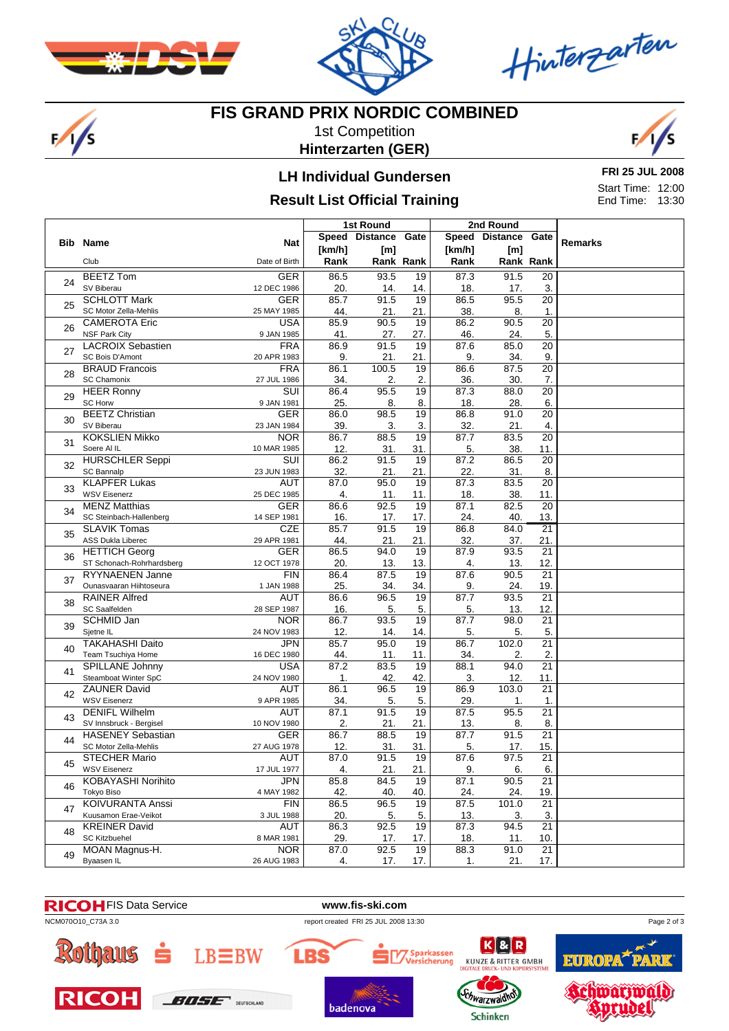

 $\frac{1}{s}$ 



Hinterzarten

#### **FIS GRAND PRIX NORDIC COMBINED**

1st Competition **Hinterzarten (GER)**



### **LH Individual Gundersen**

#### **Result List Official Training**

**FRI 25 JUL 2008** Start Time: 12:00 End Time: 13:30

|    |                                              |                          | 1st Round   |                     |                 | 2nd Round      |                     |                 |         |
|----|----------------------------------------------|--------------------------|-------------|---------------------|-----------------|----------------|---------------------|-----------------|---------|
|    |                                              |                          |             | Speed Distance Gate |                 |                | Speed Distance Gate |                 |         |
|    | <b>Bib Name</b>                              | <b>Nat</b>               | [km/h]      | [m]                 |                 | [km/h]         | [m]                 |                 | Remarks |
|    | Club                                         | Date of Birth            | Rank        |                     | Rank Rank       | Rank           | Rank Rank           |                 |         |
|    | <b>BEETZ Tom</b>                             | <b>GER</b>               | 86.5        | 93.5                | 19              | 87.3           | 91.5                | 20              |         |
| 24 | SV Biberau                                   | 12 DEC 1986              | 20.         | 14.                 | 14.             | 18.            | 17.                 | 3.              |         |
|    | <b>SCHLOTT Mark</b>                          | <b>GER</b>               | 85.7        | 91.5                | 19              | 86.5           | 95.5                | 20              |         |
| 25 | SC Motor Zella-Mehlis                        | 25 MAY 1985              | 44.         | 21.                 | 21.             | 38.            | 8.                  | 1.              |         |
| 26 | <b>CAMEROTA Eric</b>                         | <b>USA</b>               | 85.9        | 90.5                | 19              | 86.2           | 90.5                | $\overline{20}$ |         |
|    | <b>NSF Park City</b>                         | 9 JAN 1985               | 41.         | 27.                 | 27.             | 46.            | 24.                 | 5.              |         |
| 27 | <b>LACROIX Sebastien</b>                     | <b>FRA</b>               | 86.9        | 91.5                | 19              | 87.6           | 85.0                | $\overline{20}$ |         |
|    | SC Bois D'Amont                              | 20 APR 1983              | 9.          | 21.                 | 21.             | 9.             | 34.                 | 9.              |         |
| 28 | <b>BRAUD Francois</b>                        | <b>FRA</b>               | 86.1        | 100.5               | 19              | 86.6           | 87.5                | 20              |         |
|    | <b>SC Chamonix</b>                           | 27 JUL 1986              | 34.         | 2.                  | 2.              | 36.            | 30.                 | 7.              |         |
| 29 | <b>HEER Ronny</b>                            | SUI                      | 86.4        | 95.5                | 19              | 87.3           | 88.0                | $\overline{20}$ |         |
|    | <b>SC Horw</b><br><b>BEETZ Christian</b>     | 9 JAN 1981<br><b>GER</b> | 25.<br>86.0 | 8.<br>98.5          | 8.<br>19        | 18.<br>86.8    | 28.<br>91.0         | 6.<br>20        |         |
| 30 | SV Biberau                                   | 23 JAN 1984              | 39.         | 3.                  | 3.              | 32.            | 21.                 | 4.              |         |
|    | <b>KOKSLIEN Mikko</b>                        | <b>NOR</b>               | 86.7        | 88.5                | 19              | 87.7           | 83.5                | $\overline{20}$ |         |
| 31 | Soere Al IL                                  | 10 MAR 1985              | 12.         | 31.                 | 31.             | 5.             | 38.                 | 11.             |         |
|    | <b>HURSCHLER Seppi</b>                       | SUI                      | 86.2        | 91.5                | 19              | 87.2           | 86.5                | $\overline{20}$ |         |
| 32 | SC Bannalp                                   | 23 JUN 1983              | 32.         | 21.                 | 21.             | 22.            | 31.                 | 8.              |         |
|    | <b>KLAPFER Lukas</b>                         | <b>AUT</b>               | 87.0        | 95.0                | $\overline{19}$ | 87.3           | 83.5                | $\overline{20}$ |         |
| 33 | <b>WSV Eisenerz</b>                          | 25 DEC 1985              | 4.          | 11.                 | 11.             | 18.            | 38.                 | 11.             |         |
|    | <b>MENZ Matthias</b>                         | <b>GER</b>               | 86.6        | 92.5                | 19              | 87.1           | 82.5                | 20              |         |
| 34 | SC Steinbach-Hallenberg                      | 14 SEP 1981              | 16.         | 17.                 | 17.             | 24.            | 40.                 | 13.             |         |
| 35 | <b>SLAVIK Tomas</b>                          | <b>CZE</b>               | 85.7        | 91.5                | 19              | 86.8           | 84.0                | $\overline{21}$ |         |
|    | ASS Dukla Liberec                            | 29 APR 1981              | 44.         | 21.                 | 21.             | 32.            | 37.                 | 21.             |         |
| 36 | <b>HETTICH Georg</b>                         | <b>GER</b>               | 86.5        | 94.0                | 19              | 87.9           | 93.5                | $\overline{21}$ |         |
|    | ST Schonach-Rohrhardsberg                    | 12 OCT 1978              | 20.         | 13.                 | 13.             | 4.             | 13.                 | 12.             |         |
| 37 | RYYNAENEN Janne                              | <b>FIN</b>               | 86.4        | 87.5                | 19              | 87.6           | 90.5                | $\overline{21}$ |         |
|    | Ounasvaaran Hiihtoseura                      | 1 JAN 1988               | 25.         | 34.                 | 34.             | 9.             | 24.                 | 19.             |         |
| 38 | <b>RAINER Alfred</b>                         | <b>AUT</b>               | 86.6        | 96.5                | 19              | 87.7           | 93.5                | $\overline{21}$ |         |
|    | SC Saalfelden                                | 28 SEP 1987              | 16.         | 5.                  | 5.              | 5.             | 13.                 | 12.             |         |
| 39 | <b>SCHMID Jan</b>                            | <b>NOR</b>               | 86.7        | 93.5                | 19              | 87.7           | 98.0                | 21              |         |
|    | Sjetne IL<br><b>TAKAHASHI Daito</b>          | 24 NOV 1983<br>JPN       | 12.<br>85.7 | 14.<br>95.0         | 14.<br>19       | 5.<br>86.7     | 5.<br>102.0         | 5.<br>21        |         |
| 40 | Team Tsuchiya Home                           | 16 DEC 1980              | 44.         | 11.                 | 11.             | 34.            | 2.                  | 2.              |         |
|    | SPILLANE Johnny                              | <b>USA</b>               | 87.2        | 83.5                | $\overline{19}$ | 88.1           | 94.0                | 21              |         |
| 41 | Steamboat Winter SpC                         | 24 NOV 1980              | 1.          | 42.                 | 42.             | 3.             | 12.                 | 11.             |         |
|    | <b>ZAUNER David</b>                          | <b>AUT</b>               | 86.1        | 96.5                | $\overline{19}$ | 86.9           | 103.0               | $\overline{21}$ |         |
| 42 | <b>WSV Eisenerz</b>                          | 9 APR 1985               | 34.         | 5.                  | 5.              | 29.            | 1.                  | 1.              |         |
| 43 | <b>DENIFL Wilhelm</b>                        | AUT                      | 87.1        | 91.5                | $\overline{19}$ | 87.5           | 95.5                | $\overline{21}$ |         |
|    | SV Innsbruck - Bergisel                      | 10 NOV 1980              | 2.          | 21.                 | 21.             | 13.            | 8.                  | 8.              |         |
| 44 | <b>HASENEY Sebastian</b>                     | <b>GER</b>               | 86.7        | 88.5                | 19              | 87.7           | 91.5                | 21              |         |
|    | SC Motor Zella-Mehlis                        | 27 AUG 1978              | 12.         | 31.                 | 31.             | 5.             | 17.                 | 15.             |         |
| 45 | <b>STECHER Mario</b>                         | <b>AUT</b>               | 87.0        | 91.5                | 19              | 87.6           | 97.5                | 21              |         |
|    | <b>WSV Eisenerz</b>                          | 17 JUL 1977              | 4.          | 21.                 | 21.             | 9.             | 6.                  | 6.              |         |
| 46 | <b>KOBAYASHI Norihito</b>                    | <b>JPN</b>               | 85.8        | 84.5                | 19              | 87.1           | 90.5                | 21              |         |
|    | Tokyo Biso                                   | 4 MAY 1982               | 42.         | 40.                 | 40.             | 24.            | 24.                 | <u>19.</u>      |         |
| 47 | <b>KOIVURANTA Anssi</b>                      | <b>FIN</b>               | 86.5        | 96.5                | 19              | 87.5           | 101.0               | $\overline{21}$ |         |
|    | Kuusamon Erae-Veikot                         | 3 JUL 1988<br><b>AUT</b> | 20.         | 5.                  | 5.<br>19        | 13.            | 3.<br>94.5          | 3.              |         |
| 48 | <b>KREINER David</b><br><b>SC Kitzbuehel</b> | 8 MAR 1981               | 86.3        | 92.5                |                 | 87.3           |                     | 21              |         |
|    | MOAN Magnus-H.                               | <b>NOR</b>               | 29.<br>87.0 | 17.<br>92.5         | 17.<br>19       | 18.<br>88.3    | 11.<br>91.0         | 10.<br>21       |         |
| 49 | Byaasen IL                                   | 26 AUG 1983              | 4.          | 17.                 | 17.             | $\mathbf{1}$ . | 21.                 | 17.             |         |